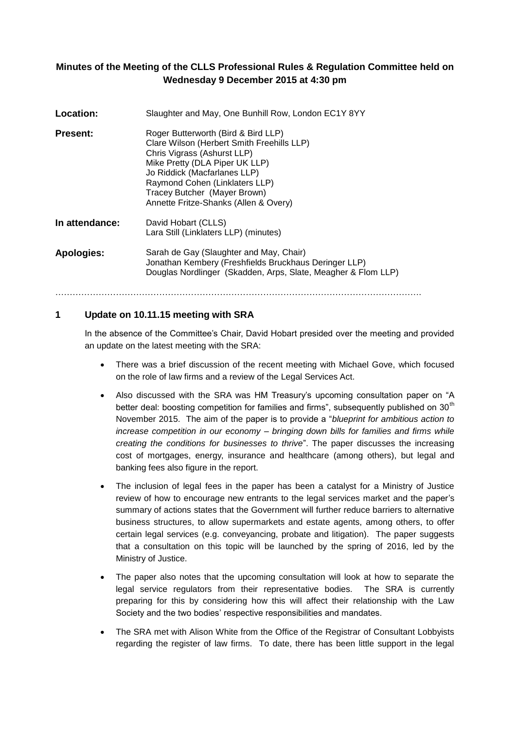## **Minutes of the Meeting of the CLLS Professional Rules & Regulation Committee held on Wednesday 9 December 2015 at 4:30 pm**

| <b>Location:</b>  | Slaughter and May, One Bunhill Row, London EC1Y 8YY                                                                                                                                                                                                                                           |
|-------------------|-----------------------------------------------------------------------------------------------------------------------------------------------------------------------------------------------------------------------------------------------------------------------------------------------|
| Present:          | Roger Butterworth (Bird & Bird LLP)<br>Clare Wilson (Herbert Smith Freehills LLP)<br>Chris Vigrass (Ashurst LLP)<br>Mike Pretty (DLA Piper UK LLP)<br>Jo Riddick (Macfarlanes LLP)<br>Raymond Cohen (Linklaters LLP)<br>Tracey Butcher (Mayer Brown)<br>Annette Fritze-Shanks (Allen & Overy) |
| In attendance:    | David Hobart (CLLS)<br>Lara Still (Linklaters LLP) (minutes)                                                                                                                                                                                                                                  |
| <b>Apologies:</b> | Sarah de Gay (Slaughter and May, Chair)<br>Jonathan Kembery (Freshfields Bruckhaus Deringer LLP)<br>Douglas Nordlinger (Skadden, Arps, Slate, Meagher & Flom LLP)                                                                                                                             |

# **1 Update on 10.11.15 meeting with SRA**

In the absence of the Committee's Chair, David Hobart presided over the meeting and provided an update on the latest meeting with the SRA:

 There was a brief discussion of the recent meeting with Michael Gove, which focused on the role of law firms and a review of the Legal Services Act.

……………………………………………………………………………………………………………….

- Also discussed with the SRA was HM Treasury's upcoming consultation paper on "A better deal: boosting competition for families and firms", subsequently published on 30<sup>th</sup> November 2015. The aim of the paper is to provide a "*blueprint for ambitious action to increase competition in our economy – bringing down bills for families and firms while creating the conditions for businesses to thrive*". The paper discusses the increasing cost of mortgages, energy, insurance and healthcare (among others), but legal and banking fees also figure in the report.
- The inclusion of legal fees in the paper has been a catalyst for a Ministry of Justice review of how to encourage new entrants to the legal services market and the paper's summary of actions states that the Government will further reduce barriers to alternative business structures, to allow supermarkets and estate agents, among others, to offer certain legal services (e.g. conveyancing, probate and litigation). The paper suggests that a consultation on this topic will be launched by the spring of 2016, led by the Ministry of Justice.
- The paper also notes that the upcoming consultation will look at how to separate the legal service regulators from their representative bodies. The SRA is currently preparing for this by considering how this will affect their relationship with the Law Society and the two bodies' respective responsibilities and mandates.
- The SRA met with Alison White from the Office of the Registrar of Consultant Lobbyists regarding the register of law firms. To date, there has been little support in the legal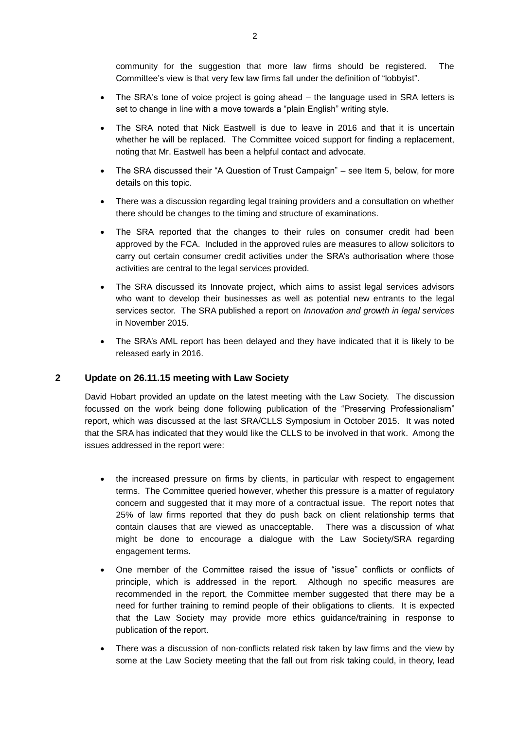community for the suggestion that more law firms should be registered. The Committee's view is that very few law firms fall under the definition of "lobbyist".

- The SRA's tone of voice project is going ahead the language used in SRA letters is set to change in line with a move towards a "plain English" writing style.
- The SRA noted that Nick Eastwell is due to leave in 2016 and that it is uncertain whether he will be replaced. The Committee voiced support for finding a replacement, noting that Mr. Eastwell has been a helpful contact and advocate.
- The SRA discussed their "A Question of Trust Campaign" see Item 5, below, for more details on this topic.
- There was a discussion regarding legal training providers and a consultation on whether there should be changes to the timing and structure of examinations.
- The SRA reported that the changes to their rules on consumer credit had been approved by the FCA. Included in the approved rules are measures to allow solicitors to carry out certain consumer credit activities under the SRA's authorisation where those activities are central to the legal services provided.
- The SRA discussed its Innovate project, which aims to assist legal services advisors who want to develop their businesses as well as potential new entrants to the legal services sector. The SRA published a report on *Innovation and growth in legal services* in November 2015.
- The SRA's AML report has been delayed and they have indicated that it is likely to be released early in 2016.

### **2 Update on 26.11.15 meeting with Law Society**

David Hobart provided an update on the latest meeting with the Law Society. The discussion focussed on the work being done following publication of the "Preserving Professionalism" report, which was discussed at the last SRA/CLLS Symposium in October 2015. It was noted that the SRA has indicated that they would like the CLLS to be involved in that work. Among the issues addressed in the report were:

- the increased pressure on firms by clients, in particular with respect to engagement terms. The Committee queried however, whether this pressure is a matter of regulatory concern and suggested that it may more of a contractual issue. The report notes that 25% of law firms reported that they do push back on client relationship terms that contain clauses that are viewed as unacceptable. There was a discussion of what might be done to encourage a dialogue with the Law Society/SRA regarding engagement terms.
- One member of the Committee raised the issue of "issue" conflicts or conflicts of principle, which is addressed in the report. Although no specific measures are recommended in the report, the Committee member suggested that there may be a need for further training to remind people of their obligations to clients. It is expected that the Law Society may provide more ethics guidance/training in response to publication of the report.
- There was a discussion of non-conflicts related risk taken by law firms and the view by some at the Law Society meeting that the fall out from risk taking could, in theory, lead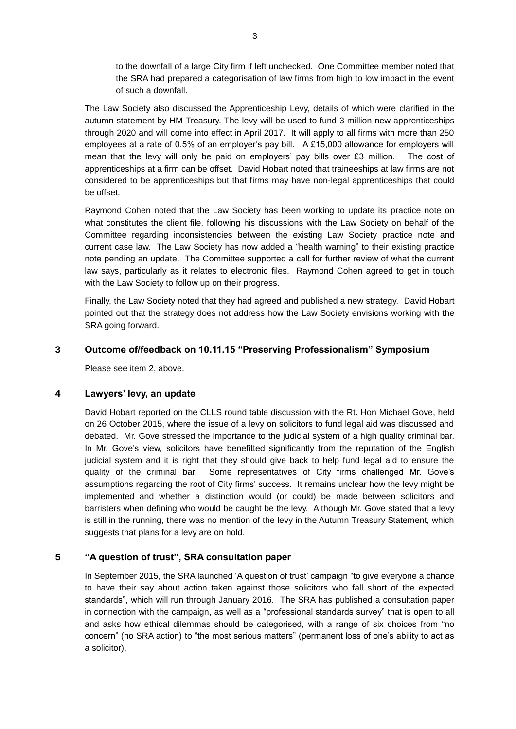to the downfall of a large City firm if left unchecked. One Committee member noted that the SRA had prepared a categorisation of law firms from high to low impact in the event of such a downfall.

The Law Society also discussed the Apprenticeship Levy, details of which were clarified in the autumn statement by HM Treasury. The levy will be used to fund 3 million new apprenticeships through 2020 and will come into effect in April 2017. It will apply to all firms with more than 250 employees at a rate of 0.5% of an employer's pay bill. A £15,000 allowance for employers will mean that the levy will only be paid on employers' pay bills over £3 million. The cost of apprenticeships at a firm can be offset. David Hobart noted that traineeships at law firms are not considered to be apprenticeships but that firms may have non-legal apprenticeships that could be offset.

Raymond Cohen noted that the Law Society has been working to update its practice note on what constitutes the client file, following his discussions with the Law Society on behalf of the Committee regarding inconsistencies between the existing Law Society practice note and current case law. The Law Society has now added a "health warning" to their existing practice note pending an update. The Committee supported a call for further review of what the current law says, particularly as it relates to electronic files. Raymond Cohen agreed to get in touch with the Law Society to follow up on their progress.

Finally, the Law Society noted that they had agreed and published a new strategy. David Hobart pointed out that the strategy does not address how the Law Society envisions working with the SRA going forward.

## **3 Outcome of/feedback on 10.11.15 "Preserving Professionalism" Symposium**

Please see item 2, above.

#### **4 Lawyers' levy, an update**

David Hobart reported on the CLLS round table discussion with the Rt. Hon Michael Gove, held on 26 October 2015, where the issue of a levy on solicitors to fund legal aid was discussed and debated. Mr. Gove stressed the importance to the judicial system of a high quality criminal bar. In Mr. Gove's view, solicitors have benefitted significantly from the reputation of the English judicial system and it is right that they should give back to help fund legal aid to ensure the quality of the criminal bar. Some representatives of City firms challenged Mr. Gove's assumptions regarding the root of City firms' success. It remains unclear how the levy might be implemented and whether a distinction would (or could) be made between solicitors and barristers when defining who would be caught be the levy. Although Mr. Gove stated that a levy is still in the running, there was no mention of the levy in the Autumn Treasury Statement, which suggests that plans for a levy are on hold.

## **5 "A question of trust", SRA consultation paper**

In September 2015, the SRA launched 'A question of trust' campaign "to give everyone a chance to have their say about action taken against those solicitors who fall short of the expected standards", which will run through January 2016. The SRA has published a consultation paper in connection with the campaign, as well as a "professional standards survey" that is open to all and asks how ethical dilemmas should be categorised, with a range of six choices from "no concern" (no SRA action) to "the most serious matters" (permanent loss of one's ability to act as a solicitor).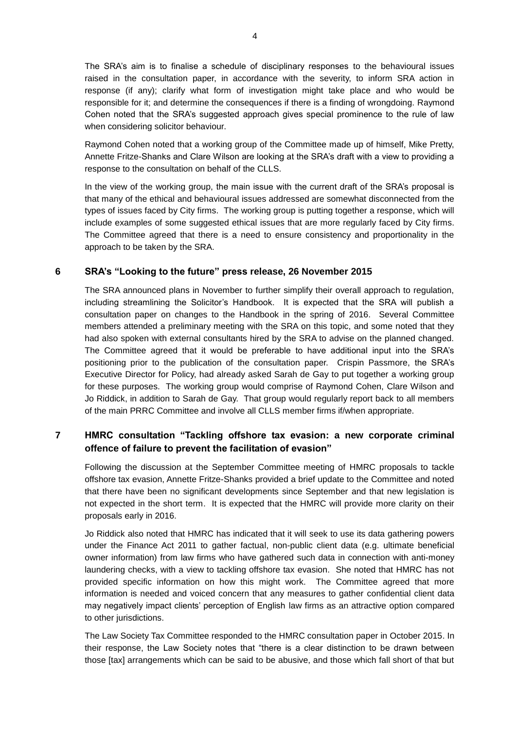The SRA's aim is to finalise a schedule of disciplinary responses to the behavioural issues raised in the consultation paper, in accordance with the severity, to inform SRA action in response (if any); clarify what form of investigation might take place and who would be responsible for it; and determine the consequences if there is a finding of wrongdoing. Raymond Cohen noted that the SRA's suggested approach gives special prominence to the rule of law when considering solicitor behaviour.

Raymond Cohen noted that a working group of the Committee made up of himself, Mike Pretty, Annette Fritze-Shanks and Clare Wilson are looking at the SRA's draft with a view to providing a response to the consultation on behalf of the CLLS.

In the view of the working group, the main issue with the current draft of the SRA's proposal is that many of the ethical and behavioural issues addressed are somewhat disconnected from the types of issues faced by City firms. The working group is putting together a response, which will include examples of some suggested ethical issues that are more regularly faced by City firms. The Committee agreed that there is a need to ensure consistency and proportionality in the approach to be taken by the SRA.

## **6 SRA's "Looking to the future" press release, 26 November 2015**

The SRA announced plans in November to further simplify their overall approach to regulation, including streamlining the Solicitor's Handbook. It is expected that the SRA will publish a consultation paper on changes to the Handbook in the spring of 2016. Several Committee members attended a preliminary meeting with the SRA on this topic, and some noted that they had also spoken with external consultants hired by the SRA to advise on the planned changed. The Committee agreed that it would be preferable to have additional input into the SRA's positioning prior to the publication of the consultation paper. Crispin Passmore, the SRA's Executive Director for Policy, had already asked Sarah de Gay to put together a working group for these purposes. The working group would comprise of Raymond Cohen, Clare Wilson and Jo Riddick, in addition to Sarah de Gay. That group would regularly report back to all members of the main PRRC Committee and involve all CLLS member firms if/when appropriate.

## **7 HMRC consultation "Tackling offshore tax evasion: a new corporate criminal offence of failure to prevent the facilitation of evasion"**

Following the discussion at the September Committee meeting of HMRC proposals to tackle offshore tax evasion, Annette Fritze-Shanks provided a brief update to the Committee and noted that there have been no significant developments since September and that new legislation is not expected in the short term. It is expected that the HMRC will provide more clarity on their proposals early in 2016.

Jo Riddick also noted that HMRC has indicated that it will seek to use its data gathering powers under the Finance Act 2011 to gather factual, non-public client data (e.g. ultimate beneficial owner information) from law firms who have gathered such data in connection with anti-money laundering checks, with a view to tackling offshore tax evasion. She noted that HMRC has not provided specific information on how this might work. The Committee agreed that more information is needed and voiced concern that any measures to gather confidential client data may negatively impact clients' perception of English law firms as an attractive option compared to other jurisdictions.

The Law Society Tax Committee responded to the HMRC consultation paper in October 2015. In their response, the Law Society notes that "there is a clear distinction to be drawn between those [tax] arrangements which can be said to be abusive, and those which fall short of that but